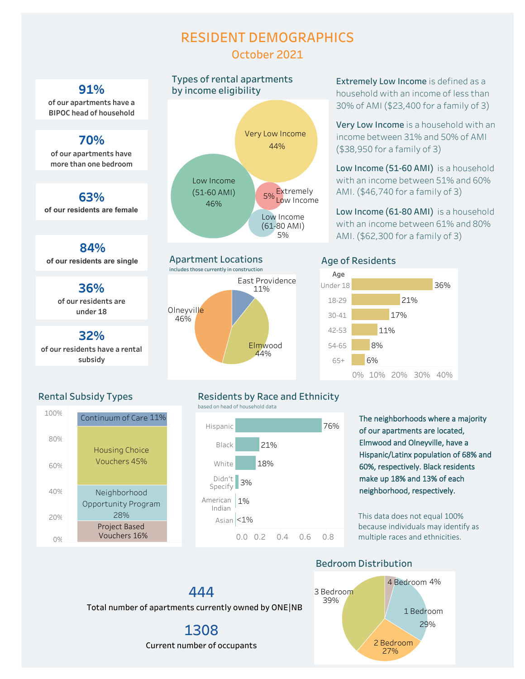## **RESIDENT DEMOGRAPHICS October 2021**



of our residents have a rental **subsidy**

# **Types of rental apartments**





**Extremely Low Income** is defined as a household with an income of less than 30% of AMI (\$23,400 for a family of 3)

**Very Low Income** is a household with an income between 31% and 50% of AMI  $($38,950$  for a family of 3)

Low Income (51-60 AMI) is a household with an income between 51% and 60% AMI. (\$46,740 for a family of 3)

Low Income (61-80 AMI) is a household with an income between 61% and 80% AMI. (\$62,300 for a family of 3)

#### **Age of Residents**



### **Rental Subsidy Types**



#### **Residents by Race and Ethnicity**

based on head of household data



The neighborhoods where a majority of our apartments are located, Elmwood and Olneyville, have a Hispanic/Latinx population of 68% and 60%, respectively. Black residents make up 18% and 13% of each neighborhood, respectively.

This data does not equal 100% because individuals may identify as multiple races and ethnicities.

#### **Bedroom Distribution**



## 444 Total number of apartments currently owned by ONE|NB

1308 Current number of occupants